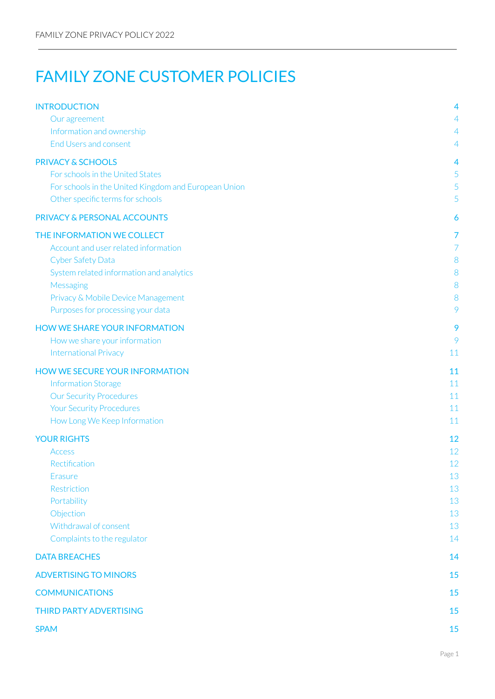# FAMILY ZONE CUSTOMER POLICIES

| <b>INTRODUCTION</b>                                  | 4              |
|------------------------------------------------------|----------------|
| Our agreement                                        | $\overline{4}$ |
| Information and ownership                            | $\overline{4}$ |
| End Users and consent                                | $\overline{4}$ |
| <b>PRIVACY &amp; SCHOOLS</b>                         | 4              |
| For schools in the United States                     | 5              |
| For schools in the United Kingdom and European Union | 5              |
| Other specific terms for schools                     | 5              |
| PRIVACY & PERSONAL ACCOUNTS                          | 6              |
| THE INFORMATION WE COLLECT                           | 7              |
| Account and user related information                 | 7              |
| <b>Cyber Safety Data</b>                             | 8              |
| System related information and analytics             | 8              |
| Messaging                                            | 8              |
| Privacy & Mobile Device Management                   | 8              |
| Purposes for processing your data                    | 9              |
| <b>HOW WE SHARE YOUR INFORMATION</b>                 | 9              |
| How we share your information                        | 9              |
| <b>International Privacy</b>                         | 11             |
| <b>HOW WE SECURE YOUR INFORMATION</b>                | 11             |
| <b>Information Storage</b>                           | 11             |
| <b>Our Security Procedures</b>                       | 11             |
| <b>Your Security Procedures</b>                      | 11             |
| How Long We Keep Information                         | 11             |
| <b>YOUR RIGHTS</b>                                   | 12             |
| <b>Access</b>                                        | 12             |
| Rectification                                        | 12             |
| Erasure                                              | 13             |
| Restriction                                          | 13             |
| Portability<br>Objection                             | 13<br>13       |
| Withdrawal of consent                                | 13             |
| Complaints to the regulator                          | 14             |
| <b>DATA BREACHES</b>                                 | 14             |
| <b>ADVERTISING TO MINORS</b>                         | 15             |
| <b>COMMUNICATIONS</b>                                | 15             |
|                                                      |                |
| <b>THIRD PARTY ADVERTISING</b>                       | 15             |
| <b>SPAM</b>                                          | 15             |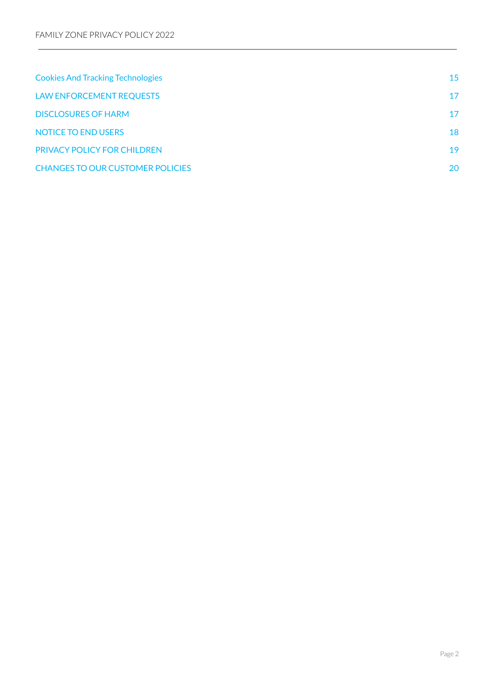| <b>Cookies And Tracking Technologies</b> | 15 |
|------------------------------------------|----|
| <b>LAW ENFORCEMENT REQUESTS</b>          | 17 |
| <b>DISCLOSURES OF HARM</b>               | 17 |
| <b>NOTICE TO END USERS</b>               | 18 |
| <b>PRIVACY POLICY FOR CHILDREN</b>       | 19 |
| <b>CHANGES TO OUR CUSTOMER POLICIES</b>  | 20 |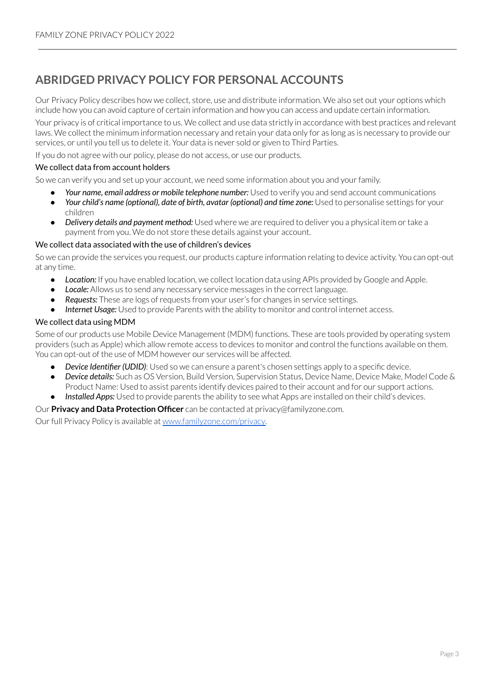### **ABRIDGED PRIVACY POLICY FOR PERSONAL ACCOUNTS**

Our Privacy Policy describes how we collect, store, use and distribute information. We also set out your options which include how you can avoid capture of certain information and how you can access and update certain information.

Your privacy is of critical importance to us. We collect and use data strictly in accordance with best practices and relevant laws. We collect the minimum information necessary and retain your data only for as long as is necessary to provide our services, or until you tell us to delete it. Your data is never sold or given to Third Parties.

If you do not agree with our policy, please do not access, or use our products.

#### We collect data from account holders

So we can verify you and set up your account, we need some information about you and your family.

- *Your name, email address or mobile telephone number:* Used to verify you and send account communications
- *Your child's name (optional), date of birth, avatar (optional) and time zone:* Used to personalise settings for your children
- *Delivery details and payment method:* Used where we are required to deliver you a physical item ortake a payment from you. We do not store these details against your account.

#### We collect data associated with the use of children's devices

So we can provide the services you request, our products capture information relating to device activity. You can opt-out at any time.

- *Location:* If you have enabled location, we collect location data using APIs provided by Google and Apple.
- **Locale:** Allows us to send any necessary service messages in the correct language.
- **Requests:** These are logs of requests from your user's for changes in service settings.
- **Internet Usage:** Used to provide Parents with the ability to monitor and control internet access.

#### We collect data using MDM

Some of our products use Mobile Device Management (MDM) functions. These are tools provided by operating system providers (such as Apple) which allow remote access to devices to monitor and control the functions available on them. You can opt-out of the use of MDM however our services will be affected.

- *Device Identifier (UDID)*: Used so we can ensure a parent's chosen settings apply to a specific device.
- *Device details:* Such as OS Version, Build Version, Supervision Status, Device Name, Device Make, Model Code & Product Name: Used to assist parents identify devices paired to their account and for our support actions.
- **Installed Apps:** Used to provide parents the ability to see what Apps are installed on their child's devices.

#### Our **Privacy and Data Protection Officer** can be contacted at privacy@familyzone.com.

Ourfull Privacy Policy is available at [www.familyzone.com/privacy.](http://www.familyzone.com/privacy)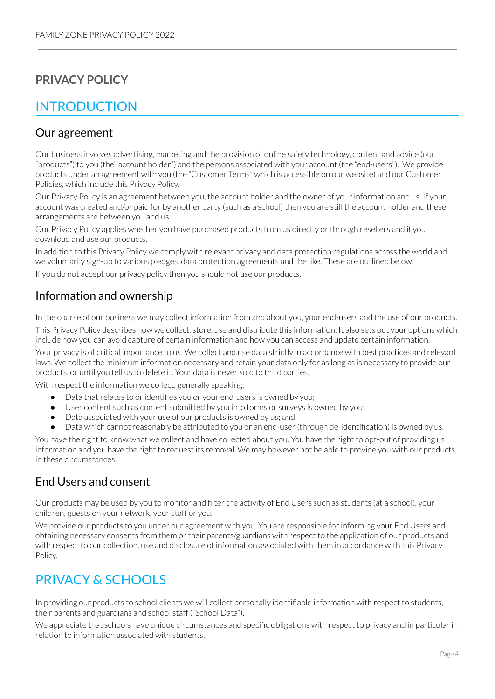### **PRIVACY POLICY**

## <span id="page-3-0"></span>INTRODUCTION

### <span id="page-3-1"></span>Our agreement

Our business involves advertising, marketing and the provision of online safety technology, content and advice (our "products") to you (the" account holder") and the persons associated with your account (the "end-users"). We provide products under an agreement with you (the "Customer Terms" which is accessible on our website) and our Customer Policies, which include this Privacy Policy.

Our Privacy Policy is an agreement between you, the account holder and the owner of yourinformation and us. If your account was created and/or paid for by another party (such as a school) then you are still the account holder and these arrangements are between you and us.

Our Privacy Policy applies whether you have purchased products from us directly orthrough resellers and if you download and use our products.

In addition to this Privacy Policy we comply with relevant privacy and data protection regulations across the world and we voluntarily sign-up to various pledges, data protection agreements and the like. These are outlined below. If you do not accept our privacy policy then you should not use our products.

### <span id="page-3-2"></span>Information and ownership

In the course of our business we may collect information from and about you, your end-users and the use of our products.

This Privacy Policy describes how we collect, store, use and distribute this information. It also sets out your options which include how you can avoid capture of certain information and how you can access and update certain information.

Your privacy is of critical importance to us. We collect and use data strictly in accordance with best practices and relevant laws. We collect the minimum information necessary and retain your data only for as long as is necessary to provide our products, or until you tell us to delete it. Your data is never sold to third parties.

With respect the information we collect, generally speaking:

- Data that relates to or identifies you or your end-users is owned by you;
- User content such as content submitted by you into forms or surveys is owned by you;
- Data associated with your use of our products is owned by us; and
- Data which cannot reasonably be attributed to you or an end-user (through de-identification) is owned by us.

You have the right to know what we collect and have collected about you. You have the right to opt-out of providing us information and you have the right to request its removal. We may however not be able to provide you with our products in these circumstances.

### <span id="page-3-3"></span>End Users and consent

Our products may be used by you to monitor and filter the activity of End Users such as students (at a school), your children, guests on your network, your staff or you.

We provide our products to you under our agreement with you. You are responsible for informing your End Users and obtaining necessary consents from them or their parents/guardians with respect to the application of our products and with respect to our collection, use and disclosure of information associated with them in accordance with this Privacy Policy.

## <span id="page-3-4"></span>PRIVACY & SCHOOLS

In providing our products to school clients we will collect personally identifiable information with respect to students, their parents and guardians and school staff ("School Data").

We appreciate that schools have unique circumstances and specific obligations with respect to privacy and in particular in relation to information associated with students.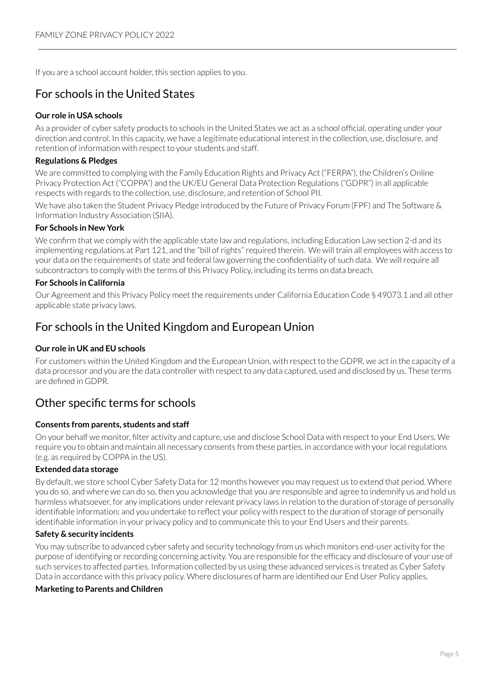If you are a school account holder, this section applies to you.

### <span id="page-4-0"></span>For schools in the United States

#### **Our role in USA schools**

As a provider of cyber safety products to schools in the United States we act as a school official, operating under your direction and control. In this capacity, we have a legitimate educational interest in the collection, use, disclosure, and retention of information with respect to your students and staff.

#### **Regulations & Pledges**

We are committed to complying with the Family Education Rights and Privacy Act ("FERPA"), the Children's Online Privacy Protection Act ("COPPA") and the UK/EU General Data Protection Regulations ("GDPR") in all applicable respects with regards to the collection, use, disclosure, and retention of School PII.

We have also taken the Student Privacy Pledge introduced by the Future of Privacy Forum (FPF) and The Software & Information Industry Association (SIIA).

#### **For Schools in New York**

We confirm that we comply with the applicable state law and regulations, including Education Law section 2-d and its implementing regulations at Part 121, and the "bill of rights" required therein. We will train all employees with access to your data on the requirements of state and federal law governing the confidentiality of such data. We willrequire all subcontractors to comply with the terms of this Privacy Policy, including its terms on data breach.

#### **For Schools in California**

Our Agreement and this Privacy Policy meet the requirements under California Education Code § 49073.1 and all other applicable state privacy laws.

### <span id="page-4-1"></span>For schools in the United Kingdom and European Union

### **Our role in UK and EU schools**

For customers within the United Kingdom and the European Union, with respect to the GDPR, we act in the capacity of a data processor and you are the data controller with respect to any data captured, used and disclosed by us. These terms are defined in GDPR.

### <span id="page-4-2"></span>Other specific terms for schools

#### **Consents from parents, students and staff**

On your behalf we monitor, filter activity and capture, use and disclose School Data with respect to your End Users. We require you to obtain and maintain all necessary consents from these parties, in accordance with your local regulations (e.g. as required by COPPA in the US).

#### **Extended data storage**

By default, we store school Cyber Safety Data for 12 months however you may request us to extend that period. Where you do so, and where we can do so, then you acknowledge that you are responsible and agree to indemnify us and hold us harmless whatsoever, for any implications under relevant privacy laws in relation to the duration of storage of personally identifiable information; and you undertake to reflect your policy with respect to the duration of storage of personally identifiable information in your privacy policy and to communicate this to your End Users and their parents.

#### **Safety & security incidents**

You may subscribe to advanced cyber safety and security technology from us which monitors end-user activity forthe purpose of identifying orrecording concerning activity. You are responsible forthe efficacy and disclosure of your use of such services to affected parties. Information collected by us using these advanced services is treated as Cyber Safety Data in accordance with this privacy policy. Where disclosures of harm are identified our End User Policy applies.

#### **Marketing to Parents and Children**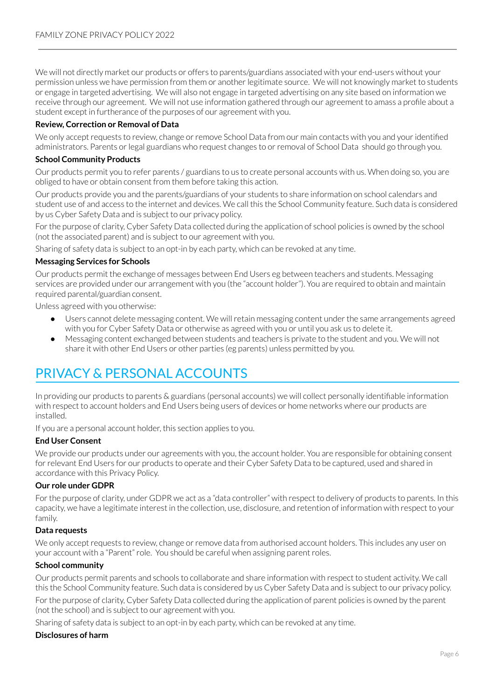We will not directly market our products or offers to parents/guardians associated with your end-users without your permission unless we have permission from them or anotherlegitimate source. We will not knowingly market to students or engage in targeted advertising. We will also not engage in targeted advertising on any site based on information we receive through our agreement. We will not use information gathered through our agreement to amass a profile about a student except in furtherance of the purposes of our agreement with you.

#### **Review, Correction or Removal of Data**

We only accept requests to review, change or remove School Data from our main contacts with you and your identified administrators. Parents or legal guardians who request changes to or removal of School Data should go through you.

### **School Community Products**

Our products permit you to refer parents / guardians to us to create personal accounts with us. When doing so, you are obliged to have or obtain consent from them before taking this action.

Our products provide you and the parents/guardians of your students to share information on school calendars and student use of and access to the internet and devices. We call this the School Community feature. Such data is considered by us Cyber Safety Data and is subject to our privacy policy.

Forthe purpose of clarity, Cyber Safety Data collected during the application of school policies is owned by the school (not the associated parent) and is subject to our agreement with you.

Sharing of safety data is subject to an opt-in by each party, which can be revoked at any time.

#### **Messaging Services for Schools**

Our products permit the exchange of messages between End Users eg between teachers and students. Messaging services are provided under our arrangement with you (the "account holder"). You are required to obtain and maintain required parental/guardian consent.

Unless agreed with you otherwise:

- Users cannot delete messaging content. We will retain messaging content under the same arrangements agreed with you for Cyber Safety Data or otherwise as agreed with you or until you ask us to delete it.
- Messaging content exchanged between students and teachers is private to the student and you. We will not share it with other End Users or other parties (eg parents) unless permitted by you.

## <span id="page-5-0"></span>PRIVACY & PERSONAL ACCOUNTS

In providing our products to parents & guardians (personal accounts) we will collect personally identifiable information with respect to account holders and End Users being users of devices or home networks where our products are installed.

If you are a personal account holder, this section applies to you.

#### **End User Consent**

We provide our products under our agreements with you, the account holder. You are responsible for obtaining consent for relevant End Users for our products to operate and their Cyber Safety Data to be captured, used and shared in accordance with this Privacy Policy.

#### **Our role under GDPR**

Forthe purpose of clarity, under GDPR we act as a "data controller" with respect to delivery of products to parents. In this capacity, we have a legitimate interest in the collection, use, disclosure, and retention of information with respect to your family.

#### **Data requests**

We only accept requests to review, change or remove data from authorised account holders. This includes any user on your account with a "Parent" role. You should be careful when assigning parent roles.

#### **School community**

Our products permit parents and schools to collaborate and share information with respect to student activity. We call this the School Community feature. Such data is considered by us Cyber Safety Data and is subject to our privacy policy.

Forthe purpose of clarity, Cyber Safety Data collected during the application of parent policies is owned by the parent (not the school) and is subject to our agreement with you.

Sharing of safety data is subject to an opt-in by each party, which can be revoked at any time.

### **Disclosures of harm**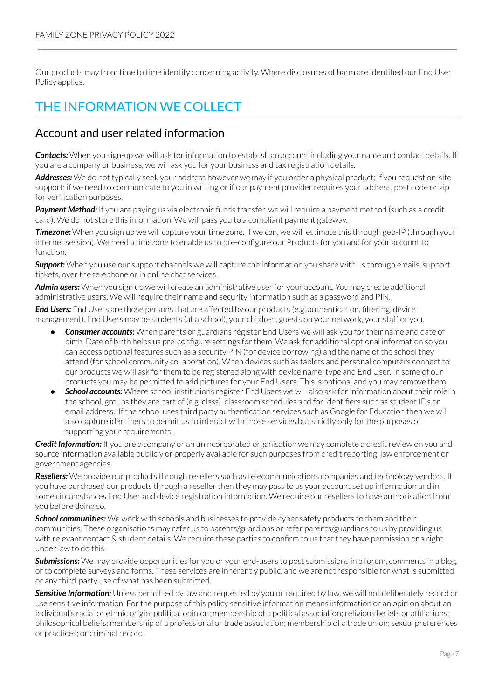Our products may from time to time identify concerning activity. Where disclosures of harm are identified our End User Policy applies.

## <span id="page-6-0"></span>THE INFORMATION WE COLLECT

### <span id="page-6-1"></span>Account and user related information

**Contacts:** When you sign-up we will ask for information to establish an account including your name and contact details. If you are a company or business, we will ask you for your business and tax registration details.

*Addresses:* We do not typically seek your address however we may if you order a physical product; if you request on-site support; if we need to communicate to you in writing or if our payment provider requires your address, post code or zip for verification purposes.

**Payment Method:** If you are paying us via electronic funds transfer, we will require a payment method (such as a credit card). We do not store this information. We will pass you to a compliant payment gateway.

**Timezone:** When you sign up we will capture your time zone. If we can, we will estimate this through geo-IP (through your internet session). We need a timezone to enable us to pre-configure our Products for you and for your account to function.

**Support:** When you use our support channels we will capture the information you share with us through emails, support tickets, over the telephone or in online chat services.

*Admin users:* When you sign up we will create an administrative userfor your account. You may create additional administrative users. We will require their name and security information such as a password and PIN.

*End Users:* End Users are those persons that are affected by our products (e.g. authentication, filtering, device management). End Users may be students (at a school), your children, guests on your network, your staff or you.

- **Consumer accounts:** When parents or guardians register End Users we will ask you for their name and date of birth. Date of birth helps us pre-configure settings for them. We ask for additional optional information so you can access optional features such as a security PIN (for device borrowing) and the name of the school they attend (for school community collaboration). When devices such as tablets and personal computers connect to our products we will ask forthem to be registered along with device name, type and End User. In some of our products you may be permitted to add pictures for your End Users. This is optional and you may remove them.
- **School accounts:** Where school institutions register End Users we will also ask for information about their role in the school, groups they are part of (e.g. class), classroom schedules and foridentifiers such as student IDs or email address. If the school uses third party authentication services such as Google for Education then we will also capture identifiers to permit us to interact with those services but strictly only for the purposes of supporting your requirements.

*Credit Information:* If you are a company or an unincorporated organisation we may complete a credit review on you and source information available publicly or properly available for such purposes from credit reporting, law enforcement or government agencies.

*Resellers:* We provide our products through resellers such as telecommunications companies and technology vendors. If you have purchased our products through a reseller then they may pass to us your account set up information and in some circumstances End User and device registration information. We require ourresellers to have authorisation from you before doing so.

*School communities:* We work with schools and businesses to provide cyber safety products to them and their communities. These organisations may refer us to parents/guardians orrefer parents/guardians to us by providing us with relevant contact & student details. We require these parties to confirm to us that they have permission or a right under law to do this.

*Submissions:* We may provide opportunities for you or your end-users to post submissions in a forum, comments in a blog, orto complete surveys and forms. These services are inherently public, and we are notresponsible for what is submitted or any third-party use of what has been submitted.

Sensitive Information: Unless permitted by law and requested by you or required by law, we will not deliberately record or use sensitive information. Forthe purpose of this policy sensitive information means information or an opinion about an individual's racial or ethnic origin; political opinion; membership of a political association;religious beliefs or affiliations; philosophical beliefs; membership of a professional or trade association; membership of a trade union; sexual preferences or practices; or criminal record.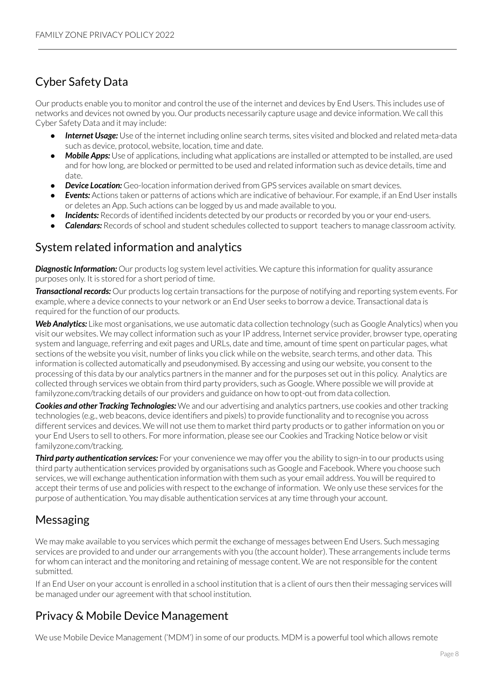## <span id="page-7-0"></span>Cyber Safety Data

Our products enable you to monitor and control the use of the internet and devices by End Users. This includes use of networks and devices not owned by you. Our products necessarily capture usage and device information. We call this Cyber Safety Data and it may include:

- **Internet Usage:** Use of the internet including online search terms, sites visited and blocked and related meta-data such as device, protocol, website, location, time and date.
- **Mobile Apps:** Use of applications, including what applications are installed or attempted to be installed, are used and for how long, are blocked or permitted to be used and related information such as device details, time and date.
- **Device Location:** Geo-location information derived from GPS services available on smart devices.
- **Events:** Actions taken or patterns of actions which are indicative of behaviour. For example, if an End User installs or deletes an App. Such actions can be logged by us and made available to you.
- **Incidents:** Records of identified incidents detected by our products or recorded by you or your end-users.
- **Calendars:** Records of school and student schedules collected to support teachers to manage classroom activity.

### <span id="page-7-1"></span>System related information and analytics

*Diagnostic Information:* Our products log system level activities. We capture this information for quality assurance purposes only. It is stored for a short period of time.

*Transactional records:* Our products log certain transactions for the purpose of notifying and reporting system events. For example, where a device connects to your network or an End User seeks to borrow a device. Transactional data is required for the function of our products.

*Web Analytics:* Like most organisations, we use automatic data collection technology (such as Google Analytics) when you visit our websites. We may collect information such as your IP address, Internet service provider, browser type, operating system and language, referring and exit pages and URLs, date and time, amount of time spent on particular pages, what sections of the website you visit, number of links you click while on the website, search terms, and other data. This information is collected automatically and pseudonymised. By accessing and using our website, you consent to the processing of this data by our analytics partners in the manner and forthe purposes set out in this policy. Analytics are collected through services we obtain from third party providers, such as Google. Where possible we will provide at familyzone.com/tracking details of our providers and guidance on how to opt-out from data collection.

**Cookies and other Tracking Technologies:** We and our advertising and analytics partners, use cookies and other tracking technologies (e.g., web beacons, device identifiers and pixels) to provide functionality and to recognise you across different services and devices. We will not use them to market third party products or to gather information on you or your End Users to sell to others. For more information, please see our Cookies and Tracking Notice below or visit familyzone.com/tracking.

*Third party authentication services:* For your convenience we may offer you the ability to sign-in to our products using third party authentication services provided by organisations such as Google and Facebook. Where you choose such services, we will exchange authentication information with them such as your email address. You will be required to accept their terms of use and policies with respect to the exchange of information. We only use these services for the purpose of authentication. You may disable authentication services at any time through your account.

### <span id="page-7-2"></span>Messaging

We may make available to you services which permit the exchange of messages between End Users. Such messaging services are provided to and under our arrangements with you (the account holder). These arrangements include terms for whom can interact and the monitoring and retaining of message content. We are notresponsible forthe content submitted.

If an End User on your account is enrolled in a school institution that is a client of ours then their messaging services will be managed under our agreement with that school institution.

### <span id="page-7-3"></span>Privacy & Mobile Device Management

We use Mobile Device Management ('MDM') in some of our products. MDM is a powerful tool which allows remote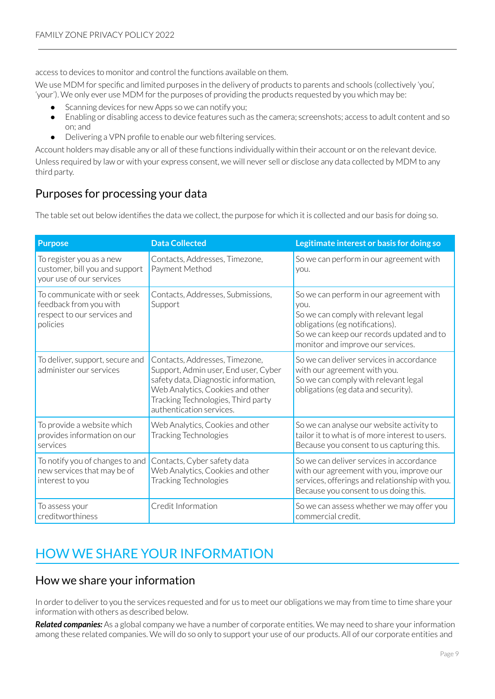access to devices to monitor and control the functions available on them.

We use MDM for specific and limited purposes in the delivery of products to parents and schools (collectively 'you', 'your'). We only ever use MDM for the purposes of providing the products requested by you which may be:

- Scanning devices for new Apps so we can notify you;
- Enabling or disabling access to device features such as the camera; screenshots; access to adult content and so on; and
- Delivering a VPN profile to enable our web filtering services.

Account holders may disable any or all of these functions individually within their account or on the relevant device. Unless required by law or with your express consent, we will never sell or disclose any data collected by MDM to any third party.

### <span id="page-8-0"></span>Purposes for processing your data

The table set out below identifies the data we collect, the purpose for which it is collected and our basis for doing so.

| <b>Purpose</b>                                                                                   | <b>Data Collected</b>                                                                                                                                                                                                | Legitimate interest or basis for doing so                                                                                                                                                                    |
|--------------------------------------------------------------------------------------------------|----------------------------------------------------------------------------------------------------------------------------------------------------------------------------------------------------------------------|--------------------------------------------------------------------------------------------------------------------------------------------------------------------------------------------------------------|
| To register you as a new<br>customer, bill you and support<br>your use of our services           | Contacts, Addresses, Timezone,<br>Payment Method                                                                                                                                                                     | So we can perform in our agreement with<br>you.                                                                                                                                                              |
| To communicate with or seek<br>feedback from you with<br>respect to our services and<br>policies | Contacts, Addresses, Submissions,<br>Support                                                                                                                                                                         | So we can perform in our agreement with<br>you.<br>So we can comply with relevant legal<br>obligations (eg notifications).<br>So we can keep our records updated and to<br>monitor and improve our services. |
| To deliver, support, secure and<br>administer our services                                       | Contacts, Addresses, Timezone,<br>Support, Admin user, End user, Cyber<br>safety data, Diagnostic information,<br>Web Analytics, Cookies and other<br>Tracking Technologies, Third party<br>authentication services. | So we can deliver services in accordance<br>with our agreement with you.<br>So we can comply with relevant legal<br>obligations (eg data and security).                                                      |
| To provide a website which<br>provides information on our<br>services                            | Web Analytics, Cookies and other<br>Tracking Technologies                                                                                                                                                            | So we can analyse our website activity to<br>tailor it to what is of more interest to users.<br>Because you consent to us capturing this.                                                                    |
| To notify you of changes to and<br>new services that may be of<br>interest to you                | Contacts, Cyber safety data<br>Web Analytics, Cookies and other<br>Tracking Technologies                                                                                                                             | So we can deliver services in accordance<br>with our agreement with you, improve our<br>services, offerings and relationship with you.<br>Because you consent to us doing this.                              |
| To assess your<br>creditworthiness                                                               | Credit Information                                                                                                                                                                                                   | So we can assess whether we may offer you<br>commercial credit.                                                                                                                                              |

## <span id="page-8-1"></span>HOW WE SHARE YOUR INFORMATION

### <span id="page-8-2"></span>How we share your information

In order to deliver to you the services requested and for us to meet our obligations we may from time to time share your information with others as described below.

*Related companies:* As a global company we have a number of corporate entities. We may need to share yourinformation among these related companies. We will do so only to support your use of our products. All of our corporate entities and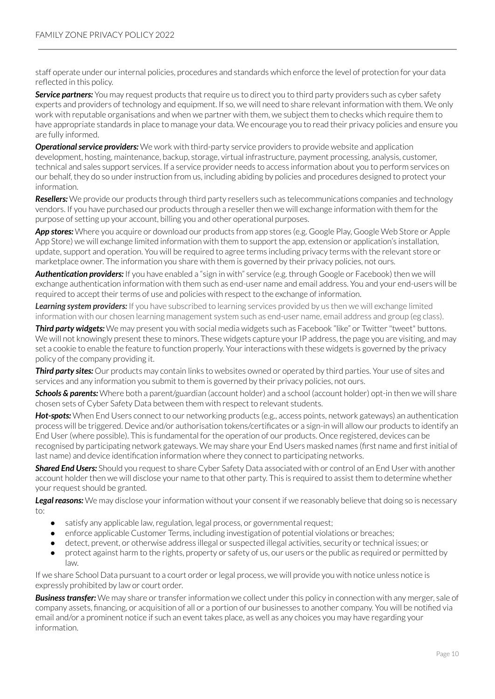staff operate under ourinternal policies, procedures and standards which enforce the level of protection for your data reflected in this policy.

**Service partners:** You may request products that require us to direct you to third party providers such as cyber safety experts and providers of technology and equipment. If so, we will need to share relevant information with them. We only work with reputable organisations and when we partner with them, we subject them to checks which require them to have appropriate standards in place to manage your data. We encourage you to read their privacy policies and ensure you are fully informed.

**Operational service providers:** We work with third-party service providers to provide website and application development, hosting, maintenance, backup, storage, virtual infrastructure, payment processing, analysis, customer, technical and sales support services. If a service provider needs to access information about you to perform services on our behalf, they do so underinstruction from us, including abiding by policies and procedures designed to protect your information.

*Resellers:* We provide our products through third party resellers such as telecommunications companies and technology vendors. If you have purchased our products through a reseller then we will exchange information with them for the purpose of setting up your account, billing you and other operational purposes.

*App stores:* Where you acquire or download our products from app stores (e.g. Google Play, Google Web Store or Apple App Store) we will exchange limited information with them to support the app, extension or application's installation, update, support and operation. You will be required to agree terms including privacy terms with the relevant store or marketplace owner. The information you share with them is governed by their privacy policies, not ours.

*Authentication providers:* If you have enabled a "sign in with" service (e.g. through Google or Facebook) then we will exchange authentication information with them such as end-user name and email address. You and your end-users will be required to accept their terms of use and policies with respect to the exchange of information.

*Learning system providers:* If you have subscribed to learning services provided by us then we will exchange limited information with our chosen learning management system such as end-user name, email address and group (eg class).

*Third party widgets:* We may present you with social media widgets such as Facebook "like" or Twitter"tweet" buttons. We will not knowingly present these to minors. These widgets capture your IP address, the page you are visiting, and may set a cookie to enable the feature to function properly. Your interactions with these widgets is governed by the privacy policy of the company providing it.

*Third party sites:* Our products may contain links to websites owned or operated by third parties. Your use of sites and services and any information you submit to them is governed by their privacy policies, not ours.

*Schools & parents:* Where both a parent/guardian (account holder) and a school (account holder) opt-in then we will share chosen sets of Cyber Safety Data between them with respect to relevant students.

**Hot-spots:** When End Users connect to our networking products (e.g., access points, network gateways) an authentication process will be triggered. Device and/or authorisation tokens/certificates or a sign-in will allow our products to identify an End User (where possible). This is fundamental for the operation of our products. Once registered, devices can be recognised by participating network gateways. We may share your End Users masked names (first name and first initial of last name) and device identification information where they connect to participating networks.

*Shared End Users:* Should you request to share Cyber Safety Data associated with or control of an End User with another account holder then we will disclose your name to that other party. This is required to assist them to determine whether your request should be granted.

**Legal reasons:** We may disclose your information without your consent if we reasonably believe that doing so is necessary to:

- satisfy any applicable law, regulation, legal process, or governmental request;
- enforce applicable Customer Terms, including investigation of potential violations or breaches;
- detect, prevent, or otherwise address illegal or suspected illegal activities, security or technical issues; or
- protect against harm to the rights, property or safety of us, our users orthe public as required or permitted by law.

If we share School Data pursuant to a court order or legal process, we will provide you with notice unless notice is expressly prohibited by law or court order.

**Business transfer:** We may share or transfer information we collect under this policy in connection with any merger, sale of company assets, financing, or acquisition of all or a portion of our businesses to another company. You will be notified via email and/or a prominent notice if such an event takes place, as well as any choices you may have regarding your information.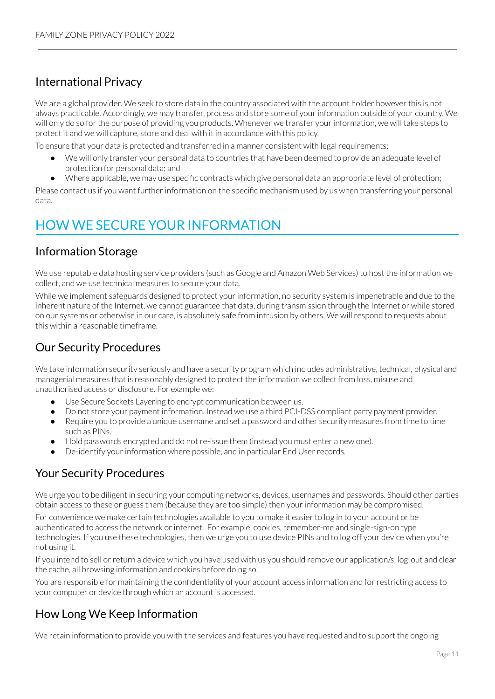### <span id="page-10-0"></span>International Privacy

We are a global provider. We seek to store data in the country associated with the account holder however this is not always practicable. Accordingly, we may transfer, process and store some of yourinformation outside of your country. We will only do so for the purpose of providing you products. Whenever we transfer your information, we will take steps to protect it and we will capture, store and deal with it in accordance with this policy.

To ensure that your data is protected and transferred in a manner consistent with legal requirements:

- We will only transfer your personal data to countries that have been deemed to provide an adequate level of protection for personal data; and
- Where applicable, we may use specific contracts which give personal data an appropriate level of protection;

Please contact us if you want further information on the specific mechanism used by us when transferring your personal data.

## <span id="page-10-1"></span>HOW WE SECURE YOUR INFORMATION

### <span id="page-10-2"></span>Information Storage

We use reputable data hosting service providers (such as Google and Amazon Web Services) to host the information we collect, and we use technical measures to secure your data.

While we implement safeguards designed to protect your information, no security system is impenetrable and due to the inherent nature of the Internet, we cannot guarantee that data, during transmission through the Internet or while stored on our systems or otherwise in our care, is absolutely safe from intrusion by others. We willrespond to requests about this within a reasonable timeframe.

### <span id="page-10-3"></span>Our Security Procedures

We take information security seriously and have a security program which includes administrative, technical, physical and managerial measures that is reasonably designed to protect the information we collect from loss, misuse and unauthorised access or disclosure. For example we:

- Use Secure Sockets Layering to encrypt communication between us.
- Do not store your payment information. Instead we use a third PCI-DSS compliant party payment provider.
- Require you to provide a unique username and set a password and other security measures from time to time such as PINs.
- Hold passwords encrypted and do not re-issue them (instead you must enter a new one).
- De-identify your information where possible, and in particular End User records.

### <span id="page-10-4"></span>Your Security Procedures

We urge you to be diligent in securing your computing networks, devices, usernames and passwords. Should other parties obtain access to these or guess them (because they are too simple) then yourinformation may be compromised.

For convenience we make certain technologies available to you to make it easierto log in to your account or be authenticated to access the network or internet. For example, cookies, remember-me and single-sign-on type technologies. If you use these technologies, then we urge you to use device PINs and to log off your device when you're not using it.

If you intend to sell orreturn a device which you have used with us you should remove our application/s, log-out and clear the cache, all browsing information and cookies before doing so.

You are responsible for maintaining the confidentiality of your account access information and forrestricting access to your computer or device through which an account is accessed.

### <span id="page-10-5"></span>How Long We Keep Information

We retain information to provide you with the services and features you have requested and to support the ongoing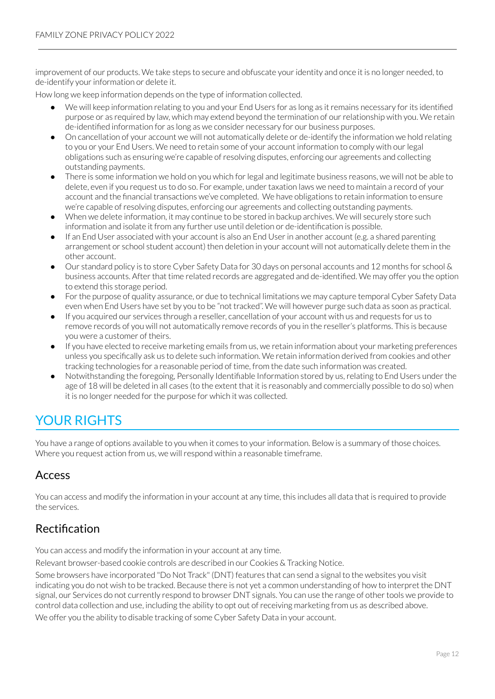improvement of our products. We take steps to secure and obfuscate youridentity and once it is no longer needed, to de-identify your information or delete it.

How long we keep information depends on the type of information collected.

- We will keep information relating to you and your End Users for as long as it remains necessary for its identified purpose or as required by law, which may extend beyond the termination of ourrelationship with you. We retain de-identified information for as long as we consider necessary for our business purposes.
- On cancellation of your account we will not automatically delete or de-identify the information we hold relating to you or your End Users. We need to retain some of your account information to comply with ourlegal obligations such as ensuring we're capable ofresolving disputes, enforcing our agreements and collecting outstanding payments.
- There is some information we hold on you which for legal and legitimate business reasons, we will not be able to delete, even if you request us to do so. For example, undertaxation laws we need to maintain a record of your account and the financial transactions we've completed. We have obligations to retain information to ensure we're capable ofresolving disputes, enforcing our agreements and collecting outstanding payments.
- When we delete information, it may continue to be stored in backup archives. We will securely store such information and isolate it from any further use until deletion or de-identification is possible.
- If an End User associated with your account is also an End Userin another account (e.g. a shared parenting arrangement or school student account) then deletion in your account will not automatically delete them in the other account.
- Our standard policy is to store Cyber Safety Data for 30 days on personal accounts and 12 months for school & business accounts. After that time related records are aggregated and de-identified. We may offer you the option to extend this storage period.
- Forthe purpose of quality assurance, or due to technical limitations we may capture temporal Cyber Safety Data even when End Users have set by you to be "not tracked". We will however purge such data as soon as practical.
- If you acquired our services through a reseller, cancellation of your account with us and requests for us to remove records of you will not automatically remove records of you in the reseller's platforms. This is because you were a customer of theirs.
- If you have elected to receive marketing emails from us, we retain information about your marketing preferences unless you specifically ask us to delete such information. We retain information derived from cookies and other tracking technologies for a reasonable period of time, from the date such information was created.
- Notwithstanding the foregoing, Personally Identifiable Information stored by us, relating to End Users under the age of 18 will be deleted in all cases (to the extent that it is reasonably and commercially possible to do so) when it is no longer needed for the purpose for which it was collected.

## <span id="page-11-0"></span>YOUR RIGHTS

You have a range of options available to you when it comes to your information. Below is a summary of those choices. Where you request action from us, we will respond within a reasonable timeframe.

### <span id="page-11-1"></span>Access

You can access and modify the information in your account at any time, this includes all data that is required to provide the services.

### <span id="page-11-2"></span>Rectification

You can access and modify the information in your account at any time.

Relevant browser-based cookie controls are described in our Cookies & Tracking Notice.

Some browsers have incorporated "Do Not Track" (DNT) features that can send a signal to the websites you visit indicating you do not wish to be tracked. Because there is not yet a common understanding of how to interpret the DNT signal, our Services do not currently respond to browser DNT signals. You can use the range of other tools we provide to control data collection and use, including the ability to opt out ofreceiving marketing from us as described above.

We offer you the ability to disable tracking of some Cyber Safety Data in your account.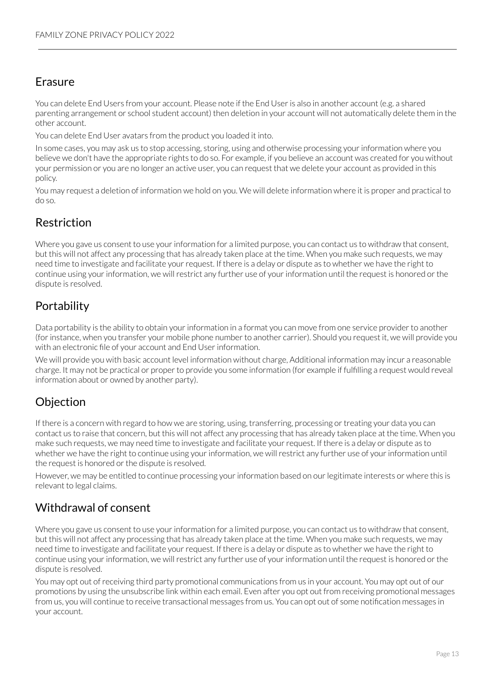### <span id="page-12-0"></span>Erasure

You can delete End Users from your account. Please note if the End User is also in another account (e.g. a shared parenting arrangement or school student account) then deletion in your account will not automatically delete them in the other account.

You can delete End User avatars from the product you loaded it into.

In some cases, you may ask us to stop accessing, storing, using and otherwise processing your information where you believe we don't have the appropriate rights to do so. For example, if you believe an account was created for you without your permission or you are no longer an active user, you can request that we delete your account as provided in this policy.

You may request a deletion of information we hold on you. We will delete information where it is proper and practical to do so.

### <span id="page-12-1"></span>Restriction

Where you gave us consent to use your information for a limited purpose, you can contact us to withdraw that consent, but this will not affect any processing that has already taken place at the time. When you make such requests, we may need time to investigate and facilitate your request. If there is a delay or dispute as to whether we have the right to continue using your information, we will restrict any further use of your information until the request is honored or the dispute is resolved.

### <span id="page-12-2"></span>Portability

Data portability is the ability to obtain your information in a format you can move from one service provider to another (for instance, when you transfer your mobile phone number to another carrier). Should you request it, we will provide you with an electronic file of your account and End User information.

We will provide you with basic account level information without charge, Additional information may incur a reasonable charge. It may not be practical or properto provide you some information (for example if fulfilling a request would reveal information about or owned by another party).

### <span id="page-12-3"></span>**Objection**

If there is a concern with regard to how we are storing, using, transferring, processing ortreating your data you can contact us to raise that concern, but this will not affect any processing that has already taken place at the time. When you make such requests, we may need time to investigate and facilitate yourrequest. If there is a delay or dispute as to whether we have the right to continue using your information, we will restrict any further use of your information until the request is honored or the dispute is resolved.

However, we may be entitled to continue processing your information based on our legitimate interests or where this is relevant to legal claims.

### <span id="page-12-4"></span>Withdrawal of consent

Where you gave us consent to use your information for a limited purpose, you can contact us to withdraw that consent, but this will not affect any processing that has already taken place at the time. When you make such requests, we may need time to investigate and facilitate your request. If there is a delay or dispute as to whether we have the right to continue using your information, we will restrict any further use of your information until the request is honored or the dispute is resolved.

You may opt out of receiving third party promotional communications from us in your account. You may opt out of our promotions by using the unsubscribe link within each email. Even after you opt out from receiving promotional messages from us, you will continue to receive transactional messages from us. You can opt out of some notification messages in your account.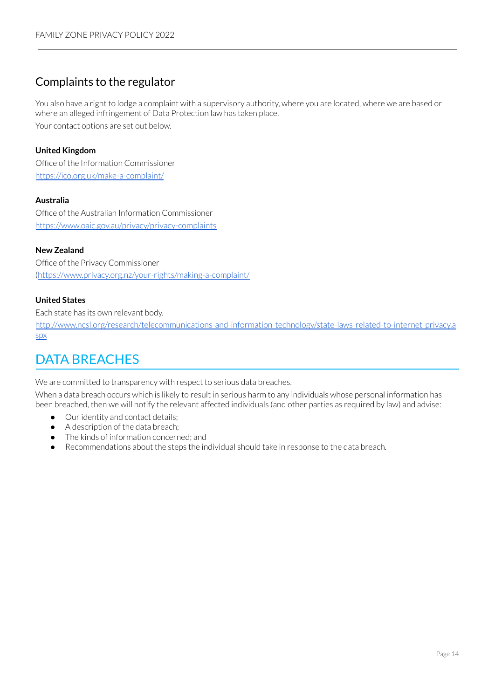### <span id="page-13-0"></span>Complaints to the regulator

You also have a right to lodge a complaint with a supervisory authority, where you are located, where we are based or where an alleged infringement of Data Protection law has taken place. Your contact options are set out below.

### **United Kingdom**

Office of the Information Commissioner <https://ico.org.uk/make-a-complaint/>

### **Australia**

Office of the Australian Information Commissioner <https://www.oaic.gov.au/privacy/privacy-complaints>

### **New Zealand**

Office of the Privacy Commissioner (<https://www.privacy.org.nz/your-rights/making-a-complaint/>

### **United States**

Each state has its own relevant body.

[http://www.ncsl.org/research/telecommunications-and-information-technology/state-laws-related-to-internet-privacy.a](http://www.ncsl.org/research/telecommunications-and-information-technology/state-laws-related-to-internet-privacy.aspx) [spx](http://www.ncsl.org/research/telecommunications-and-information-technology/state-laws-related-to-internet-privacy.aspx)

## <span id="page-13-1"></span>DATA BREACHES

We are committed to transparency with respect to serious data breaches.

When a data breach occurs which is likely to result in serious harm to any individuals whose personal information has been breached, then we will notify the relevant affected individuals (and other parties as required by law) and advise:

- Our identity and contact details;
- A description of the data breach;
- The kinds of information concerned; and
- Recommendations about the steps the individual should take in response to the data breach.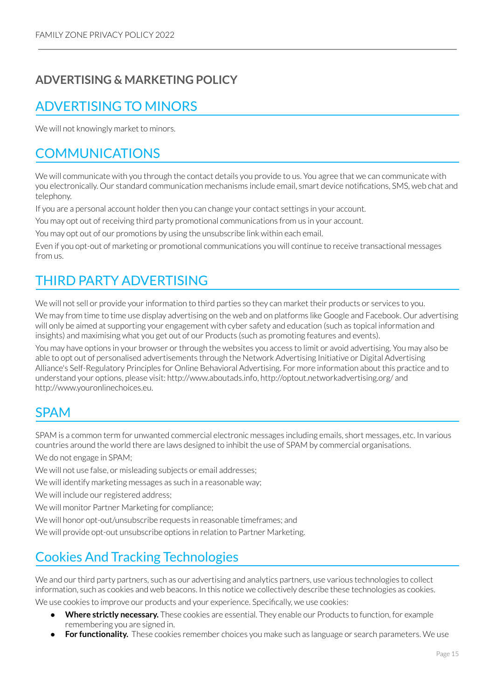## **ADVERTISING & MARKETING POLICY**

## <span id="page-14-0"></span>ADVERTISING TO MINORS

We will not knowingly market to minors.

## <span id="page-14-1"></span>COMMUNICATIONS

We will communicate with you through the contact details you provide to us. You agree that we can communicate with you electronically. Our standard communication mechanisms include email, smart device notifications, SMS, web chat and telephony.

If you are a personal account holder then you can change your contact settings in your account.

You may opt out of receiving third party promotional communications from us in your account.

You may opt out of our promotions by using the unsubscribe link within each email.

Even if you opt-out of marketing or promotional communications you will continue to receive transactional messages from us.

## <span id="page-14-2"></span>THIRD PARTY ADVERTISING

We will not sell or provide your information to third parties so they can market their products or services to you.

We may from time to time use display advertising on the web and on platforms like Google and Facebook. Our advertising will only be aimed at supporting your engagement with cyber safety and education (such as topical information and insights) and maximising what you get out of our Products (such as promoting features and events).

You may have options in your browser or through the websites you access to limit or avoid advertising. You may also be able to opt out of personalised advertisements through the Network Advertising Initiative or Digital Advertising Alliance's Self-Regulatory Principles for Online Behavioral Advertising. For more information about this practice and to understand your options, please visit: http://www.aboutads.info, http://optout.networkadvertising.org/ and http://www.youronlinechoices.eu.

## <span id="page-14-3"></span>SPAM

SPAM is a common term for unwanted commercial electronic messages including emails, short messages, etc. In various countries around the world there are laws designed to inhibit the use of SPAM by commercial organisations. We do not engage in SPAM;

We will not use false, or misleading subjects or email addresses;

We will identify marketing messages as such in a reasonable way;

We will include our registered address;

We will monitor Partner Marketing for compliance;

We will honor opt-out/unsubscribe requests in reasonable timeframes; and

We will provide opt-out unsubscribe options in relation to Partner Marketing.

## <span id="page-14-4"></span>Cookies And Tracking Technologies

We and our third party partners, such as our advertising and analytics partners, use various technologies to collect information, such as cookies and web beacons. In this notice we collectively describe these technologies as cookies.

We use cookies to improve our products and your experience. Specifically, we use cookies:

- **Where strictly necessary.** These cookies are essential. They enable our Products to function, for example remembering you are signed in.
- For functionality. These cookies remember choices you make such as language or search parameters. We use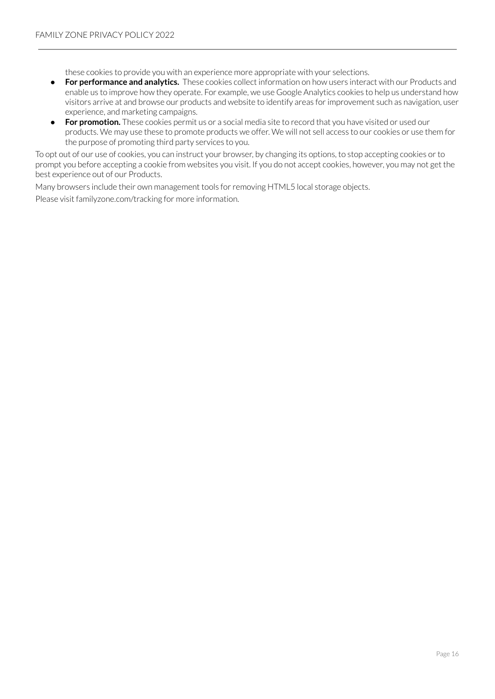these cookies to provide you with an experience more appropriate with your selections.

- **For performance and analytics.** These cookies collect information on how users interact with our Products and enable us to improve how they operate. For example, we use Google Analytics cookies to help us understand how visitors arrive at and browse our products and website to identify areas forimprovement such as navigation, user experience, and marketing campaigns.
- **For promotion.** These cookies permit us or a social media site to record that you have visited or used our products. We may use these to promote products we offer. We will not sell access to our cookies or use them for the purpose of promoting third party services to you.

To opt out of our use of cookies, you can instruct your browser, by changing its options, to stop accepting cookies orto prompt you before accepting a cookie from websites you visit. If you do not accept cookies, however, you may not get the best experience out of our Products.

Many browsers include their own management tools for removing HTML5 local storage objects. Please visit familyzone.com/tracking for more information.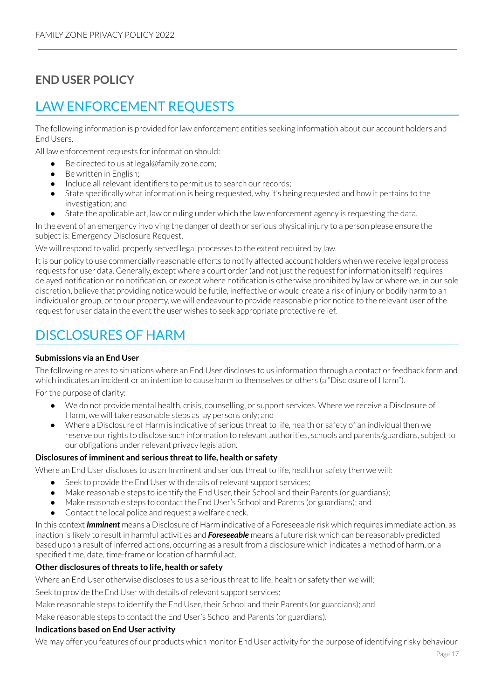## **END USER POLICY**

## <span id="page-16-0"></span>LAW ENFORCEMENT REQUESTS

The following information is provided for law enforcement entities seeking information about our account holders and End Users.

All law enforcement requests for information should:

- Be directed to us at legal@family zone.com;
- Be written in English;
- Include all relevant identifiers to permit us to search our records;
- State specifically what information is being requested, why it's being requested and how it pertains to the investigation; and
- State the applicable act, law or ruling under which the law enforcement agency is requesting the data.

In the event of an emergency involving the danger of death or serious physical injury to a person please ensure the subject is: Emergency Disclosure Request.

We will respond to valid, properly served legal processes to the extent required by law.

It is our policy to use commercially reasonable efforts to notify affected account holders when we receive legal process requests for user data. Generally, except where a court order (and not just the request for information itself) requires delayed notification or no notification, or except where notification is otherwise prohibited by law or where we, in our sole discretion, believe that providing notice would be futile, ineffective or would create a risk of injury or bodily harm to an individual or group, or to our property, we will endeavour to provide reasonable prior notice to the relevant user of the request for user data in the event the user wishes to seek appropriate protective relief.

## <span id="page-16-1"></span>DISCLOSURES OF HARM

### **Submissions via an End User**

The following relates to situations where an End User discloses to us information through a contact or feedback form and which indicates an incident or an intention to cause harm to themselves or others (a "Disclosure of Harm").

For the purpose of clarity:

- We do not provide mental health, crisis, counselling, or support services. Where we receive a Disclosure of Harm, we will take reasonable steps as lay persons only; and
- Where a Disclosure of Harm is indicative of serious threat to life, health or safety of an individual then we reserve ourrights to disclose such information to relevant authorities, schools and parents/guardians, subject to our obligations under relevant privacy legislation.

### **Disclosures of imminent and serious threatto life, health or safety**

Where an End User discloses to us an Imminent and serious threat to life, health or safety then we will:

- Seek to provide the End User with details of relevant support services;
- Make reasonable steps to identify the End User, their School and their Parents (or guardians);
- Make reasonable steps to contact the End User's School and Parents (or guardians); and
- Contact the local police and request a welfare check.

In this context *Imminent* means a Disclosure of Harm indicative of a Foreseeable risk which requires immediate action, as inaction is likely to result in harmful activities and *Foreseeable* means a future risk which can be reasonably predicted based upon a result of inferred actions, occurring as a result from a disclosure which indicates a method of harm, or a specified time, date, time-frame or location of harmful act.

### **Other disclosures ofthreats to life, health or safety**

Where an End User otherwise discloses to us a serious threat to life, health or safety then we will:

Seek to provide the End User with details of relevant support services;

Make reasonable steps to identify the End User, their School and their Parents (or guardians); and

Make reasonable steps to contact the End User's School and Parents (or guardians).

### **Indications based on End User activity**

We may offer you features of our products which monitor End User activity for the purpose of identifying risky behaviour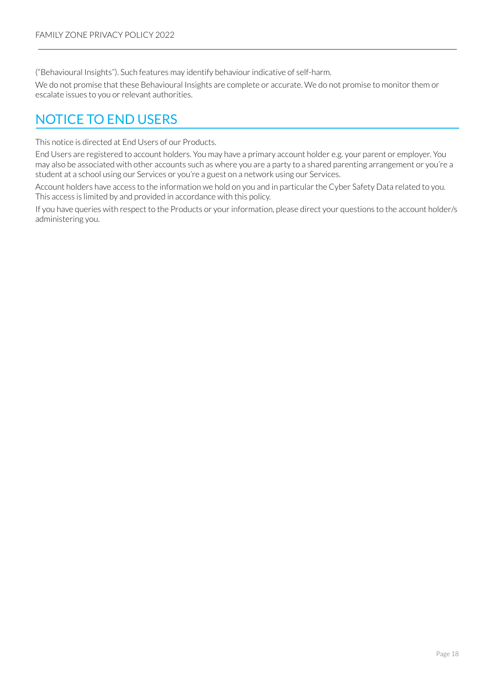("Behavioural Insights"). Such features may identify behaviourindicative of self-harm.

We do not promise that these Behavioural Insights are complete or accurate. We do not promise to monitor them or escalate issues to you or relevant authorities.

## <span id="page-17-0"></span>NOTICE TO END USERS

This notice is directed at End Users of our Products.

End Users are registered to account holders. You may have a primary account holder e.g. your parent or employer. You may also be associated with other accounts such as where you are a party to a shared parenting arrangement or you're a student at a school using our Services or you're a guest on a network using our Services.

Account holders have access to the information we hold on you and in particular the Cyber Safety Data related to you. This access is limited by and provided in accordance with this policy.

If you have queries with respect to the Products or your information, please direct your questions to the account holder/s administering you.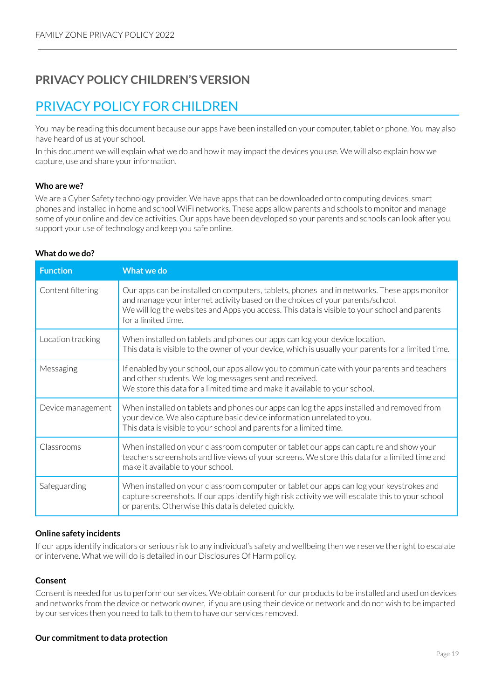### **PRIVACY POLICY CHILDREN'S VERSION**

## <span id="page-18-0"></span>PRIVACY POLICY FOR CHILDREN

You may be reading this document because our apps have been installed on your computer, tablet or phone. You may also have heard of us at your school.

In this document we will explain what we do and how it may impact the devices you use. We will also explain how we capture, use and share your information.

#### **Who are we?**

We are a Cyber Safety technology provider. We have apps that can be downloaded onto computing devices, smart phones and installed in home and school WiFi networks. These apps allow parents and schools to monitor and manage some of your online and device activities. Our apps have been developed so your parents and schools can look after you, support your use of technology and keep you safe online.

#### **What do we do?**

| <b>Function</b>   | <b>What we do</b>                                                                                                                                                                                                                                                                                     |
|-------------------|-------------------------------------------------------------------------------------------------------------------------------------------------------------------------------------------------------------------------------------------------------------------------------------------------------|
| Content filtering | Our apps can be installed on computers, tablets, phones and in networks. These apps monitor<br>and manage your internet activity based on the choices of your parents/school.<br>We will log the websites and Apps you access. This data is visible to your school and parents<br>for a limited time. |
| Location tracking | When installed on tablets and phones our apps can log your device location.<br>This data is visible to the owner of your device, which is usually your parents for a limited time.                                                                                                                    |
| Messaging         | If enabled by your school, our apps allow you to communicate with your parents and teachers<br>and other students. We log messages sent and received.<br>We store this data for a limited time and make it available to your school.                                                                  |
| Device management | When installed on tablets and phones our apps can log the apps installed and removed from<br>your device. We also capture basic device information unrelated to you.<br>This data is visible to your school and parents for a limited time.                                                           |
| Classrooms        | When installed on your classroom computer or tablet our apps can capture and show your<br>teachers screenshots and live views of your screens. We store this data for a limited time and<br>make it available to your school.                                                                         |
| Safeguarding      | When installed on your classroom computer or tablet our apps can log your keystrokes and<br>capture screenshots. If our apps identify high risk activity we will escalate this to your school<br>or parents. Otherwise this data is deleted quickly.                                                  |

#### **Online safety incidents**

If our apps identify indicators or serious risk to any individual's safety and wellbeing then we reserve the right to escalate or intervene. What we will do is detailed in our Disclosures Of Harm policy.

#### **Consent**

Consent is needed for us to perform our services. We obtain consent for our products to be installed and used on devices and networks from the device or network owner, if you are using their device or network and do not wish to be impacted by our services then you need to talk to them to have our services removed.

#### **Our** commitment to data protection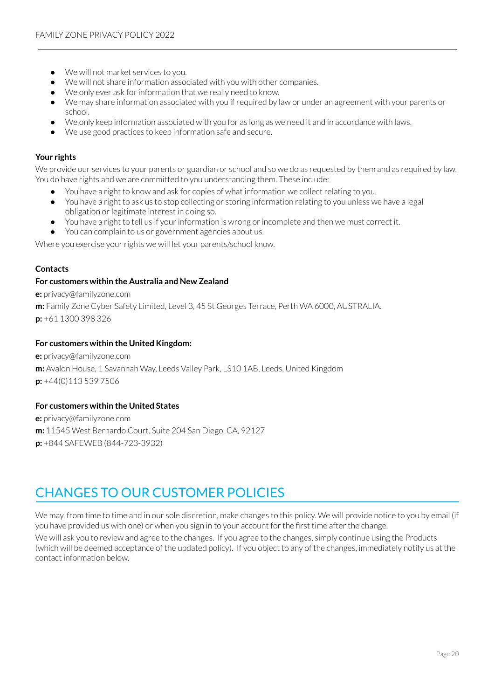- We will not market services to you.
- We will not share information associated with you with other companies.
- We only ever ask for information that we really need to know.
- We may share information associated with you ifrequired by law or under an agreement with your parents or school.
- We only keep information associated with you for as long as we need it and in accordance with laws.
- We use good practices to keep information safe and secure.

#### **Your rights**

We provide our services to your parents or guardian or school and so we do as requested by them and as required by law. You do have rights and we are committed to you understanding them. These include:

- You have a right to know and ask for copies of what information we collect relating to you.
- You have a right to ask us to stop collecting or storing information relating to you unless we have a legal obligation orlegitimate interest in doing so.
- You have a right to tell us if your information is wrong or incomplete and then we must correct it.
- You can complain to us or government agencies about us.

Where you exercise your rights we will let your parents/school know.

#### **Contacts**

#### **For customers within the Australia and New Zealand**

**e:** privacy@familyzone.com **m:** Family Zone Cyber Safety Limited, Level 3, 45 St Georges Terrace, Perth WA 6000, AUSTRALIA. **p:** +61 1300 398 326

#### **For customers within the United Kingdom:**

**e:** privacy@familyzone.com **m:** Avalon House, 1 Savannah Way, Leeds Valley Park, LS10 1AB, Leeds, United Kingdom **p:** +44(0)113 539 7506

### **For customers within the United States**

**e:** privacy@familyzone.com **m:** 11545 West Bernardo Court, Suite 204 San Diego, CA, 92127 **p:** +844 SAFEWEB (844-723-3932)

## <span id="page-19-0"></span>CHANGES TO OUR CUSTOMER POLICIES

We may, from time to time and in our sole discretion, make changes to this policy. We will provide notice to you by email (if you have provided us with one) or when you sign in to your account for the first time after the change.

We will ask you to review and agree to the changes. If you agree to the changes, simply continue using the Products (which will be deemed acceptance of the updated policy). If you object to any of the changes, immediately notify us at the contact information below.